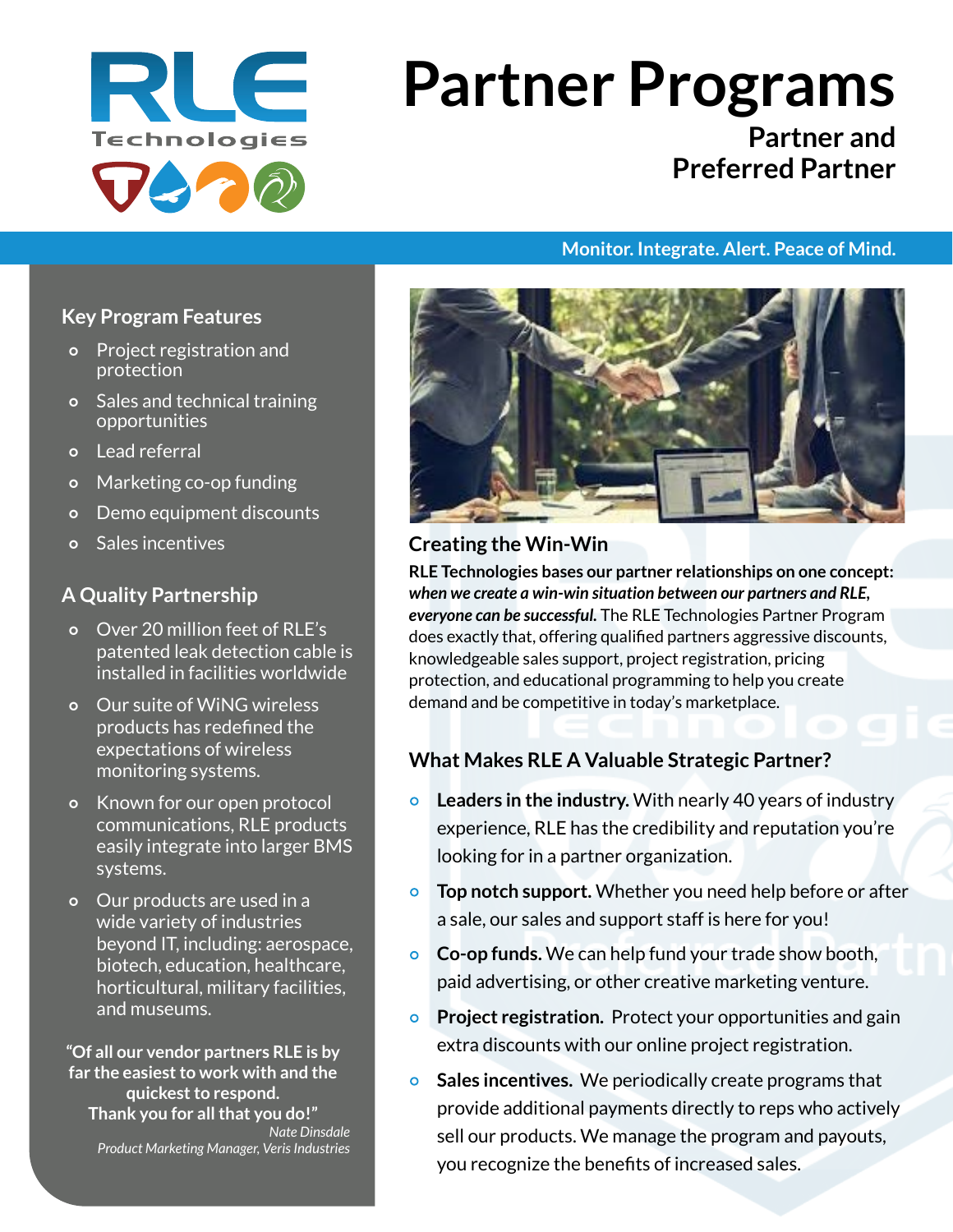

# **Partner Programs**

# **Partner and Preferred Partner**

#### **Monitor. Integrate. Alert. Peace of Mind.**

#### **Key Program Features**

- Project registration and protection
- Sales and technical training opportunities
- Lead referral
- o Marketing co-op funding
- Demo equipment discounts
- Sales incentives

#### **A Quality Partnership**

- Over 20 million feet of RLE's patented leak detection cable is installed in facilities worldwide
- Our suite of WiNG wireless products has redefined the expectations of wireless monitoring systems.
- Known for our open protocol communications, RLE products easily integrate into larger BMS systems.
- Our products are used in a wide variety of industries beyond IT, including: aerospace, biotech, education, healthcare, horticultural, military facilities, and museums.

**"Of all our vendor partners RLE is by far the easiest to work with and the quickest to respond. Thank you for all that you do!"** *Nate Dinsdale Product Marketing Manager, Veris Industries*



#### **Creating the Win-Win**

**RLE Technologies bases our partner relationships on one concept:**  *when we create a win-win situation between our partners and RLE, everyone can be successful.* The RLE Technologies Partner Program does exactly that, offering qualified partners aggressive discounts, knowledgeable sales support, project registration, pricing protection, and educational programming to help you create demand and be competitive in today's marketplace.

## **What Makes RLE A Valuable Strategic Partner?**

- **Leaders in the industry.** With nearly 40 years of industry experience, RLE has the credibility and reputation you're looking for in a partner organization.
- **Top notch support.** Whether you need help before or after a sale, our sales and support staff is here for you!
- **Co-op funds.** We can help fund your trade show booth, paid advertising, or other creative marketing venture.
- **Project registration.** Protect your opportunities and gain extra discounts with our online project registration.
- **Sales incentives.** We periodically create programs that provide additional payments directly to reps who actively sell our products. We manage the program and payouts, you recognize the benefits of increased sales.